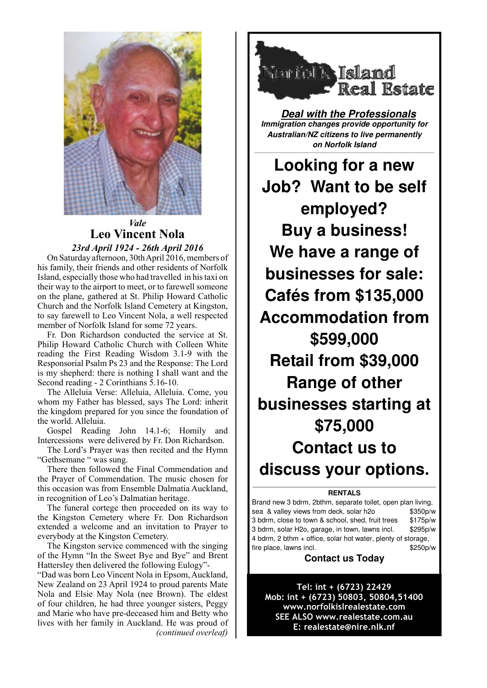

# *Vale* **Leo Vincent Nola**

*23rd April 1924 - 26th April 2016*

On Saturday afternoon, 30th April 2016, members of his family, their friends and other residents of Norfolk Island, especially those who had travelled in his taxi on their way to the airport to meet, or to farewell someone on the plane, gathered at St. Philip Howard Catholic Church and the Norfolk Island Cemetery at Kingston, to say farewell to Leo Vincent Nola, a well respected member of Norfolk Island for some 72 years.

Fr. Don Richardson conducted the service at St. Philip Howard Catholic Church with Colleen White reading the First Reading Wisdom 3.1-9 with the Responsorial Psalm Ps 23 and the Response: The Lord is my shepherd: there is nothing I shall want and the Second reading - 2 Corinthians 5.16-10.

The Alleluia Verse: Alleluia, Alleluia. Come, you whom my Father has blessed, says The Lord: inherit the kingdom prepared for you since the foundation of the world. Alleluia.

Gospel Reading John 14.1-6; Homily and Intercessions were delivered by Fr. Don Richardson.

The Lord's Prayer was then recited and the Hymn "Gethsemane " was sung.

There then followed the Final Commendation and the Prayer of Commendation. The music chosen for this occasion was from Ensemble Dalmatia Auckland, in recognition of Leo's Dalmatian heritage.

The funeral cortege then proceeded on its way to the Kingston Cemetery where Fr. Don Richardson extended a welcome and an invitation to Prayer to everybody at the Kingston Cemetery.

The Kingston service commenced with the singing of the Hymn "In the Sweet Bye and Bye" and Brent Hattersley then delivered the following Eulogy"-

"Dad was born Leo Vincent Nola in Epsom, Auckland, New Zealand on 23 April 1924 to proud parents Mate Nola and Elsie May Nola (nee Brown). The eldest of four children, he had three younger sisters, Peggy and Marie who have pre-deceased him and Betty who lives with her family in Auckland. He was proud of *(continued overleaf)*



**Deal with the Professionals Immigration changes provide opportunity for Australian/NZ citizens to live permanently on Norfolk Island**

————————————————————————————————————————————————————

**Looking for a new Job? Want to be self employed? Buy a business! We have a range of businesses for sale: Cafés from \$135,000 Accommodation from \$599,000 Retail from \$39,000 Range of other businesses starting at \$75,000 Contact us to discuss your options.** 

#### **————————————————————————————————————————————————————— RENTALS**

Brand new 3 bdrm, 2bthm, separate toilet, open plan living, sea & valley views from deck, solar h2o \$350p/w 3 bdrm, close to town & school, shed, fruit trees \$175p/w 3 bdrm, solar H2o, garage, in town, lawns incl. \$295p/w 4 bdrm, 2 bthm + office, solar hot water, plenty of storage, fire place, lawns incl.  $$250p/w$ 

## **Contact us Today**

Tel: int + (6723) 22429 Mob: int + (6723) 50803, 50804, 51400 www.norfolkislrealestate.com SEE ALSO www.realestate.com.au E: realestate@nire.nlk.nf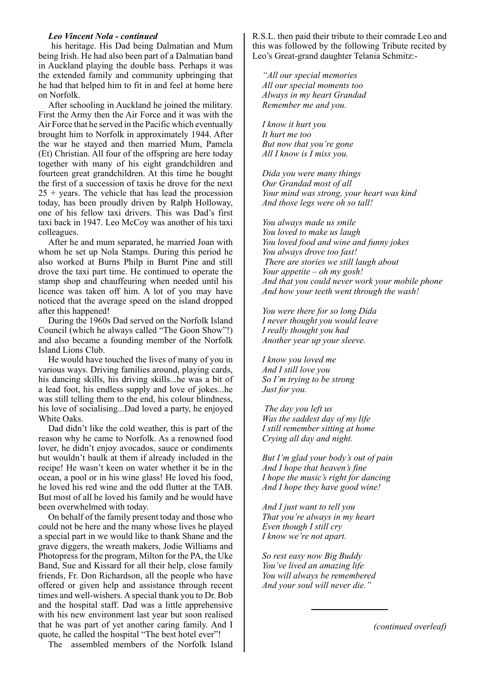### *Leo Vincent Nola - continued*

 his heritage. His Dad being Dalmatian and Mum being Irish. He had also been part of a Dalmatian band in Auckland playing the double bass. Perhaps it was the extended family and community upbringing that he had that helped him to fit in and feel at home here on Norfolk.

After schooling in Auckland he joined the military. First the Army then the Air Force and it was with the Air Force that he served in the Pacific which eventually brought him to Norfolk in approximately 1944. After the war he stayed and then married Mum, Pamela (Et) Christian. All four of the offspring are here today together with many of his eight grandchildren and fourteen great grandchildren. At this time he bought the first of a succession of taxis he drove for the next  $25 + \text{years}$ . The vehicle that has lead the procession today, has been proudly driven by Ralph Holloway, one of his fellow taxi drivers. This was Dad's first taxi back in 1947. Leo McCoy was another of his taxi colleagues.

After he and mum separated, he married Joan with whom he set up Nola Stamps. During this period he also worked at Burns Philp in Burnt Pine and still drove the taxi part time. He continued to operate the stamp shop and chauffeuring when needed until his licence was taken off him. A lot of you may have noticed that the average speed on the island dropped after this happened!

During the 1960s Dad served on the Norfolk Island Council (which he always called "The Goon Show"!) and also became a founding member of the Norfolk Island Lions Club.

He would have touched the lives of many of you in various ways. Driving families around, playing cards, his dancing skills, his driving skills...he was a bit of a lead foot, his endless supply and love of jokes...he was still telling them to the end, his colour blindness, his love of socialising...Dad loved a party, he enjoyed White Oaks.

Dad didn't like the cold weather, this is part of the reason why he came to Norfolk. As a renowned food lover, he didn't enjoy avocados, sauce or condiments but wouldn't baulk at them if already included in the recipe! He wasn't keen on water whether it be in the ocean, a pool or in his wine glass! He loved his food, he loved his red wine and the odd flutter at the TAB. But most of all he loved his family and he would have been overwhelmed with today.

On behalf of the family present today and those who could not be here and the many whose lives he played a special part in we would like to thank Shane and the grave diggers, the wreath makers, Jodie Williams and Photopress for the program, Milton for the PA, the Uke Band, Sue and Kissard for all their help, close family friends, Fr. Don Richardson, all the people who have offered or given help and assistance through recent times and well-wishers. A special thank you to Dr. Bob and the hospital staff. Dad was a little apprehensive with his new environment last year but soon realised that he was part of yet another caring family. And I quote, he called the hospital "The best hotel ever"!

The assembled members of the Norfolk Island

R.S.L. then paid their tribute to their comrade Leo and this was followed by the following Tribute recited by Leo's Great-grand daughter Telania Schmitz:-

*"All our special memories All our special moments too Always in my heart Grandad Remember me and you.*

*I know it hurt you It hurt me too But now that you're gone All I know is I miss you.*

*Dida you were many things Our Grandad most of all Your mind was strong, your heart was kind And those legs were oh so tall!*

*You always made us smile You loved to make us laugh You loved food and wine and funny jokes You always drove too fast! There are stories we still laugh about Your appetite – oh my gosh! And that you could never work your mobile phone And how your teeth went through the wash!*

*You were there for so long Dida I never thought you would leave I really thought you had Another year up your sleeve.*

*I know you loved me And I still love you So I'm trying to be strong Just for you.*

 *The day you left us Was the saddest day of my life I still remember sitting at home Crying all day and night.*

*But I'm glad your body's out of pain And I hope that heaven's fine I hope the music's right for dancing And I hope they have good wine!*

*And I just want to tell you That you're always in my heart Even though I still cry I know we're not apart.*

*So rest easy now Big Buddy You've lived an amazing life You will always be remembered And your soul will never die."*

*(continued overleaf)*